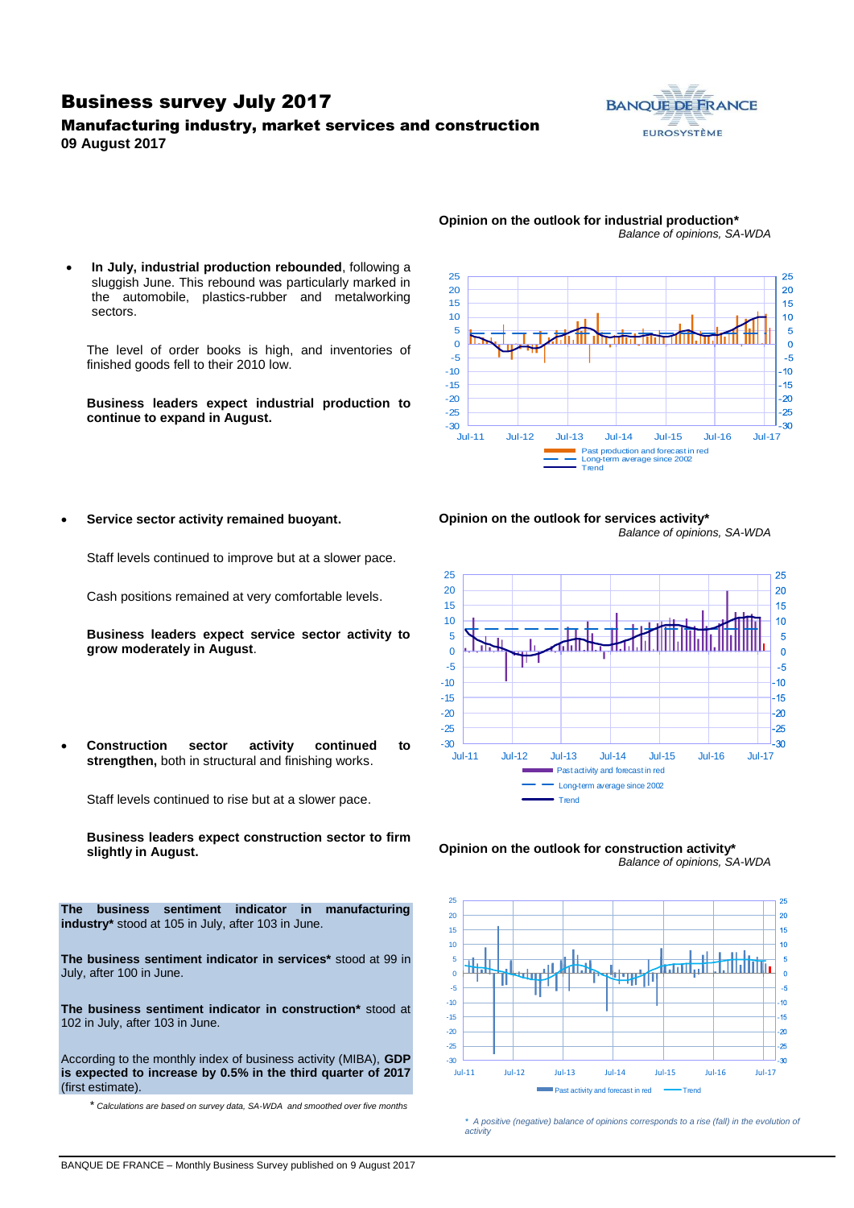### Business survey July 2017

### Manufacturing industry, market services and construction **09 August 2017**



*Balance of opinions, SA-WDA*



**Opinion on the outlook for industrial production\***

 **In July, industrial production rebounded**, following a sluggish June. This rebound was particularly marked in the automobile, plastics-rubber and metalworking sectors.

The level of order books is high, and inventories of finished goods fell to their 2010 low.

**Business leaders expect industrial production to continue to expand in August.**











*\* A positive (negative) balance of opinions corresponds to a rise (fall) in the evolution of activity*

**Service sector activity remained buoyant.** 

Staff levels continued to improve but at a slower pace.

Cash positions remained at very comfortable levels.

**Business leaders expect service sector activity to grow moderately in August**.

 **Construction sector activity continued to strengthen,** both in structural and finishing works.

Staff levels continued to rise but at a slower pace.

**Business leaders expect construction sector to firm slightly in August.**

**The business sentiment indicator in manufacturing industry\*** stood at 105 in July, after 103 in June.

**The business sentiment indicator in services\*** stood at 99 in July, after 100 in June.

**The business sentiment indicator in construction\*** stood at 102 in July, after 103 in June.

According to the monthly index of business activity (MIBA), **GDP is expected to increase by 0.5% in the third quarter of 2017** (first estimate).

\* *Calculations are based on survey data, SA-WDA and smoothed over five months*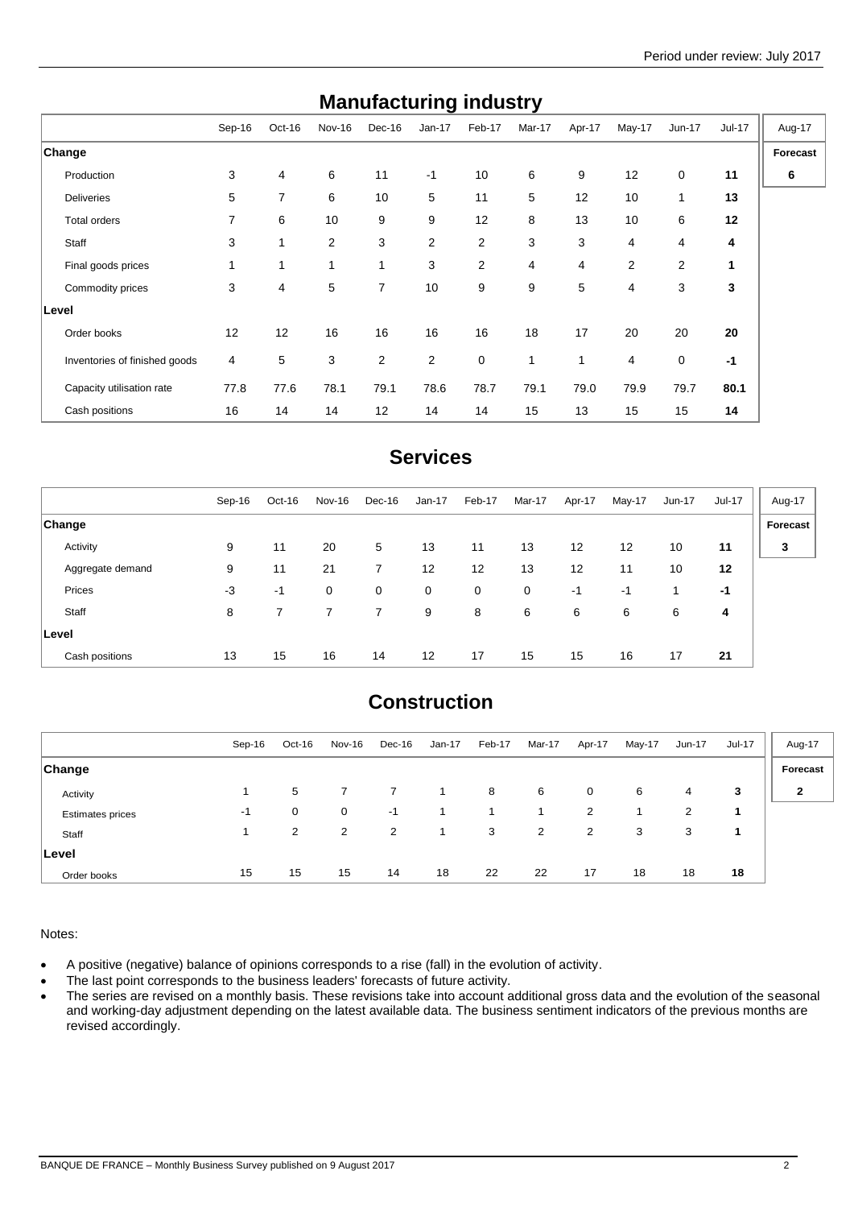| <b>Manufacturing muustry</b>  |        |        |              |                |                |                |              |        |        |              |        |          |
|-------------------------------|--------|--------|--------------|----------------|----------------|----------------|--------------|--------|--------|--------------|--------|----------|
|                               | Sep-16 | Oct-16 | Nov-16       | Dec-16         | $Jan-17$       | Feb-17         | Mar-17       | Apr-17 | May-17 | Jun-17       | Jul-17 | Aug-17   |
| Change                        |        |        |              |                |                |                |              |        |        |              |        | Forecast |
| Production                    | 3      | 4      | 6            | 11             | $-1$           | 10             | 6            | 9      | 12     | 0            | 11     | 6        |
| <b>Deliveries</b>             | 5      | 7      | 6            | 10             | 5              | 11             | 5            | 12     | 10     | $\mathbf{1}$ | 13     |          |
| Total orders                  | 7      | 6      | 10           | 9              | 9              | 12             | 8            | 13     | 10     | 6            | 12     |          |
| Staff                         | 3      | 1      | 2            | 3              | 2              | $\overline{2}$ | 3            | 3      | 4      | 4            | 4      |          |
| Final goods prices            | 1      | 1      | $\mathbf{1}$ | 1              | 3              | 2              | 4            | 4      | 2      | 2            | 1      |          |
| Commodity prices              | 3      | 4      | 5            | $\overline{7}$ | 10             | 9              | 9            | 5      | 4      | 3            | 3      |          |
| Level                         |        |        |              |                |                |                |              |        |        |              |        |          |
| Order books                   | 12     | 12     | 16           | 16             | 16             | 16             | 18           | 17     | 20     | 20           | 20     |          |
| Inventories of finished goods | 4      | 5      | 3            | 2              | $\overline{2}$ | 0              | $\mathbf{1}$ | 1      | 4      | 0            | $-1$   |          |
| Capacity utilisation rate     | 77.8   | 77.6   | 78.1         | 79.1           | 78.6           | 78.7           | 79.1         | 79.0   | 79.9   | 79.7         | 80.1   |          |
| Cash positions                | 16     | 14     | 14           | 12             | 14             | 14             | 15           | 13     | 15     | 15           | 14     |          |

## **Manufacturing industry**

## **Services**

|                  | Sep-16 | Oct-16 | Nov-16       | Dec-16 | Jan-17            | Feb-17 | Mar-17      | Apr-17 | May-17 | Jun-17 | Jul-17 | Aug-17   |
|------------------|--------|--------|--------------|--------|-------------------|--------|-------------|--------|--------|--------|--------|----------|
| <b>Change</b>    |        |        |              |        |                   |        |             |        |        |        |        | Forecast |
| Activity         | 9      | 11     | 20           | 5      | 13                | 11     | 13          | 12     | 12     | 10     | 11     | 3        |
| Aggregate demand | 9      | 11     | 21           | 7      | 12                | 12     | 13          | 12     | 11     | 10     | 12     |          |
| Prices           | -3     | $-1$   | $\mathbf{0}$ | 0      | 0                 | 0      | $\mathbf 0$ | $-1$   | $-1$   |        | -1     |          |
| Staff            | 8      |        |              | 7      | 9                 | 8      | 6           | 6      | 6      | 6      | 4      |          |
| <b>Level</b>     |        |        |              |        |                   |        |             |        |        |        |        |          |
| Cash positions   | 13     | 15     | 16           | 14     | $12 \overline{ }$ | 17     | 15          | 15     | 16     | 17     | 21     |          |

## **Construction**

|                         | Sep-16 | Oct-16         | Nov-16      | Dec-16 | $Jan-17$ | Feb-17 | Mar-17 | Apr-17 | May-17 | Jun-17 | Jul-17 | Aug-17         |
|-------------------------|--------|----------------|-------------|--------|----------|--------|--------|--------|--------|--------|--------|----------------|
| <b>Change</b>           |        |                |             |        |          |        |        |        |        |        |        | Forecast       |
| Activity                |        | 5              |             |        |          | 8      | 6      | 0      | 6      | 4      | 3      | $\overline{2}$ |
| <b>Estimates prices</b> | $-1$   | 0              | $\mathbf 0$ | $-1$   | 1.       |        |        | 2      |        | 2      |        |                |
| Staff                   |        | $\overline{2}$ | 2           | 2      | 1        | 3      | 2      | 2      | 3      | 3      |        |                |
| Level                   |        |                |             |        |          |        |        |        |        |        |        |                |
| Order books             | 15     | 15             | 15          | 14     | 18       | 22     | 22     | 17     | 18     | 18     | 18     |                |

Notes:

A positive (negative) balance of opinions corresponds to a rise (fall) in the evolution of activity.

• The last point corresponds to the business leaders' forecasts of future activity.

• The series are revised on a monthly basis. These revisions take into account additional gross data and the evolution of the seasonal and working-day adjustment depending on the latest available data. The business sentiment indicators of the previous months are revised accordingly.